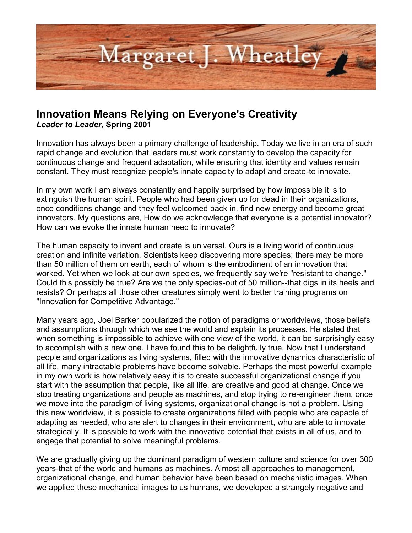

# **Innovation Means Relying on Everyone's Creativity** *Leader to Leader***, Spring 2001**

Innovation has always been a primary challenge of leadership. Today we live in an era of such rapid change and evolution that leaders must work constantly to develop the capacity for continuous change and frequent adaptation, while ensuring that identity and values remain constant. They must recognize people's innate capacity to adapt and create-to innovate.

In my own work I am always constantly and happily surprised by how impossible it is to extinguish the human spirit. People who had been given up for dead in their organizations, once conditions change and they feel welcomed back in, find new energy and become great innovators. My questions are, How do we acknowledge that everyone is a potential innovator? How can we evoke the innate human need to innovate?

The human capacity to invent and create is universal. Ours is a living world of continuous creation and infinite variation. Scientists keep discovering more species; there may be more than 50 million of them on earth, each of whom is the embodiment of an innovation that worked. Yet when we look at our own species, we frequently say we're "resistant to change." Could this possibly be true? Are we the only species-out of 50 million--that digs in its heels and resists? Or perhaps all those other creatures simply went to better training programs on "Innovation for Competitive Advantage."

Many years ago, Joel Barker popularized the notion of paradigms or worldviews, those beliefs and assumptions through which we see the world and explain its processes. He stated that when something is impossible to achieve with one view of the world, it can be surprisingly easy to accomplish with a new one. I have found this to be delightfully true. Now that I understand people and organizations as living systems, filled with the innovative dynamics characteristic of all life, many intractable problems have become solvable. Perhaps the most powerful example in my own work is how relatively easy it is to create successful organizational change if you start with the assumption that people, like all life, are creative and good at change. Once we stop treating organizations and people as machines, and stop trying to re-engineer them, once we move into the paradigm of living systems, organizational change is not a problem. Using this new worldview, it is possible to create organizations filled with people who are capable of adapting as needed, who are alert to changes in their environment, who are able to innovate strategically. It is possible to work with the innovative potential that exists in all of us, and to engage that potential to solve meaningful problems.

We are gradually giving up the dominant paradigm of western culture and science for over 300 years-that of the world and humans as machines. Almost all approaches to management, organizational change, and human behavior have been based on mechanistic images. When we applied these mechanical images to us humans, we developed a strangely negative and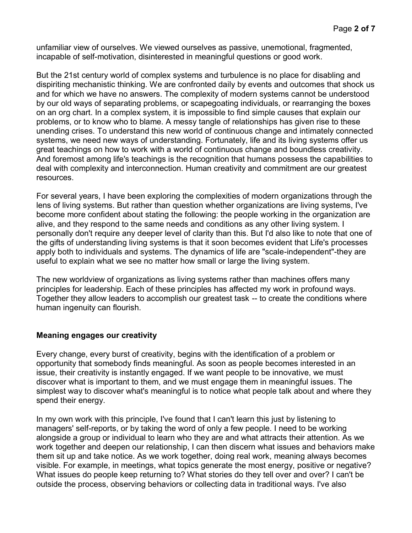unfamiliar view of ourselves. We viewed ourselves as passive, unemotional, fragmented, incapable of self-motivation, disinterested in meaningful questions or good work.

But the 21st century world of complex systems and turbulence is no place for disabling and dispiriting mechanistic thinking. We are confronted daily by events and outcomes that shock us and for which we have no answers. The complexity of modern systems cannot be understood by our old ways of separating problems, or scapegoating individuals, or rearranging the boxes on an org chart. In a complex system, it is impossible to find simple causes that explain our problems, or to know who to blame. A messy tangle of relationships has given rise to these unending crises. To understand this new world of continuous change and intimately connected systems, we need new ways of understanding. Fortunately, life and its living systems offer us great teachings on how to work with a world of continuous change and boundless creativity. And foremost among life's teachings is the recognition that humans possess the capabilities to deal with complexity and interconnection. Human creativity and commitment are our greatest resources.

For several years, I have been exploring the complexities of modern organizations through the lens of living systems. But rather than question whether organizations are living systems, I've become more confident about stating the following: the people working in the organization are alive, and they respond to the same needs and conditions as any other living system. I personally don't require any deeper level of clarity than this. But I'd also like to note that one of the gifts of understanding living systems is that it soon becomes evident that Life's processes apply both to individuals and systems. The dynamics of life are "scale-independent"-they are useful to explain what we see no matter how small or large the living system.

The new worldview of organizations as living systems rather than machines offers many principles for leadership. Each of these principles has affected my work in profound ways. Together they allow leaders to accomplish our greatest task -- to create the conditions where human ingenuity can flourish.

#### **Meaning engages our creativity**

Every change, every burst of creativity, begins with the identification of a problem or opportunity that somebody finds meaningful. As soon as people becomes interested in an issue, their creativity is instantly engaged. If we want people to be innovative, we must discover what is important to them, and we must engage them in meaningful issues. The simplest way to discover what's meaningful is to notice what people talk about and where they spend their energy.

In my own work with this principle, I've found that I can't learn this just by listening to managers' self-reports, or by taking the word of only a few people. I need to be working alongside a group or individual to learn who they are and what attracts their attention. As we work together and deepen our relationship, I can then discern what issues and behaviors make them sit up and take notice. As we work together, doing real work, meaning always becomes visible. For example, in meetings, what topics generate the most energy, positive or negative? What issues do people keep returning to? What stories do they tell over and over? I can't be outside the process, observing behaviors or collecting data in traditional ways. I've also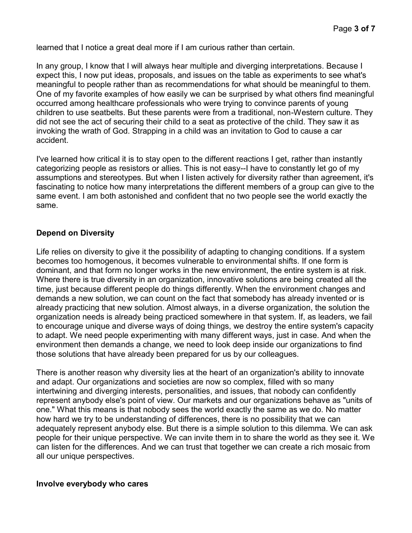learned that I notice a great deal more if I am curious rather than certain.

In any group, I know that I will always hear multiple and diverging interpretations. Because I expect this, I now put ideas, proposals, and issues on the table as experiments to see what's meaningful to people rather than as recommendations for what should be meaningful to them. One of my favorite examples of how easily we can be surprised by what others find meaningful occurred among healthcare professionals who were trying to convince parents of young children to use seatbelts. But these parents were from a traditional, non-Western culture. They did not see the act of securing their child to a seat as protective of the child. They saw it as invoking the wrath of God. Strapping in a child was an invitation to God to cause a car accident.

I've learned how critical it is to stay open to the different reactions I get, rather than instantly categorizing people as resistors or allies. This is not easy--I have to constantly let go of my assumptions and stereotypes. But when I listen actively for diversity rather than agreement, it's fascinating to notice how many interpretations the different members of a group can give to the same event. I am both astonished and confident that no two people see the world exactly the same.

## **Depend on Diversity**

Life relies on diversity to give it the possibility of adapting to changing conditions. If a system becomes too homogenous, it becomes vulnerable to environmental shifts. If one form is dominant, and that form no longer works in the new environment, the entire system is at risk. Where there is true diversity in an organization, innovative solutions are being created all the time, just because different people do things differently. When the environment changes and demands a new solution, we can count on the fact that somebody has already invented or is already practicing that new solution. Almost always, in a diverse organization, the solution the organization needs is already being practiced somewhere in that system. If, as leaders, we fail to encourage unique and diverse ways of doing things, we destroy the entire system's capacity to adapt. We need people experimenting with many different ways, just in case. And when the environment then demands a change, we need to look deep inside our organizations to find those solutions that have already been prepared for us by our colleagues.

There is another reason why diversity lies at the heart of an organization's ability to innovate and adapt. Our organizations and societies are now so complex, filled with so many intertwining and diverging interests, personalities, and issues, that nobody can confidently represent anybody else's point of view. Our markets and our organizations behave as "units of one." What this means is that nobody sees the world exactly the same as we do. No matter how hard we try to be understanding of differences, there is no possibility that we can adequately represent anybody else. But there is a simple solution to this dilemma. We can ask people for their unique perspective. We can invite them in to share the world as they see it. We can listen for the differences. And we can trust that together we can create a rich mosaic from all our unique perspectives.

#### **Involve everybody who cares**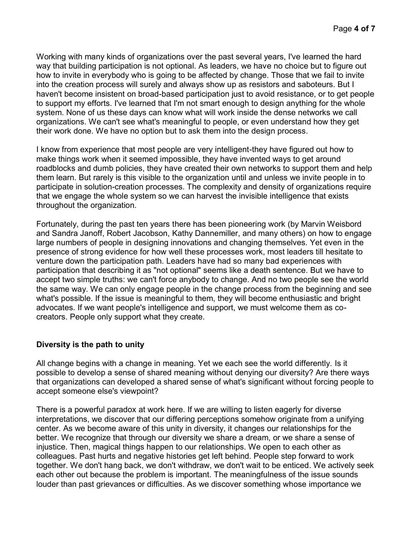Working with many kinds of organizations over the past several years, I've learned the hard way that building participation is not optional. As leaders, we have no choice but to figure out how to invite in everybody who is going to be affected by change. Those that we fail to invite into the creation process will surely and always show up as resistors and saboteurs. But I haven't become insistent on broad-based participation just to avoid resistance, or to get people to support my efforts. I've learned that I'm not smart enough to design anything for the whole system. None of us these days can know what will work inside the dense networks we call organizations. We can't see what's meaningful to people, or even understand how they get their work done. We have no option but to ask them into the design process.

I know from experience that most people are very intelligent-they have figured out how to make things work when it seemed impossible, they have invented ways to get around roadblocks and dumb policies, they have created their own networks to support them and help them learn. But rarely is this visible to the organization until and unless we invite people in to participate in solution-creation processes. The complexity and density of organizations require that we engage the whole system so we can harvest the invisible intelligence that exists throughout the organization.

Fortunately, during the past ten years there has been pioneering work (by Marvin Weisbord and Sandra Janoff, Robert Jacobson, Kathy Dannemiller, and many others) on how to engage large numbers of people in designing innovations and changing themselves. Yet even in the presence of strong evidence for how well these processes work, most leaders till hesitate to venture down the participation path. Leaders have had so many bad experiences with participation that describing it as "not optional" seems like a death sentence. But we have to accept two simple truths: we can't force anybody to change. And no two people see the world the same way. We can only engage people in the change process from the beginning and see what's possible. If the issue is meaningful to them, they will become enthusiastic and bright advocates. If we want people's intelligence and support, we must welcome them as cocreators. People only support what they create.

### **Diversity is the path to unity**

All change begins with a change in meaning. Yet we each see the world differently. Is it possible to develop a sense of shared meaning without denying our diversity? Are there ways that organizations can developed a shared sense of what's significant without forcing people to accept someone else's viewpoint?

There is a powerful paradox at work here. If we are willing to listen eagerly for diverse interpretations, we discover that our differing perceptions somehow originate from a unifying center. As we become aware of this unity in diversity, it changes our relationships for the better. We recognize that through our diversity we share a dream, or we share a sense of injustice. Then, magical things happen to our relationships. We open to each other as colleagues. Past hurts and negative histories get left behind. People step forward to work together. We don't hang back, we don't withdraw, we don't wait to be enticed. We actively seek each other out because the problem is important. The meaningfulness of the issue sounds louder than past grievances or difficulties. As we discover something whose importance we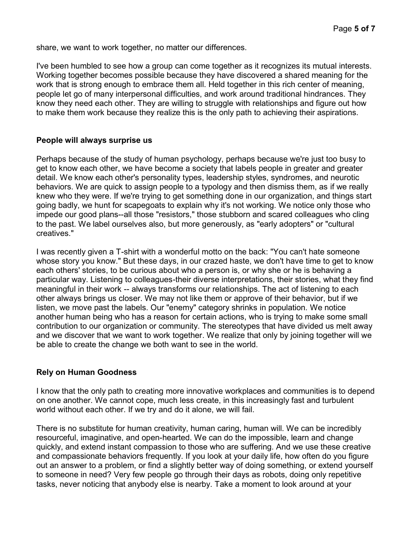share, we want to work together, no matter our differences.

I've been humbled to see how a group can come together as it recognizes its mutual interests. Working together becomes possible because they have discovered a shared meaning for the work that is strong enough to embrace them all. Held together in this rich center of meaning, people let go of many interpersonal difficulties, and work around traditional hindrances. They know they need each other. They are willing to struggle with relationships and figure out how to make them work because they realize this is the only path to achieving their aspirations.

#### **People will always surprise us**

Perhaps because of the study of human psychology, perhaps because we're just too busy to get to know each other, we have become a society that labels people in greater and greater detail. We know each other's personality types, leadership styles, syndromes, and neurotic behaviors. We are quick to assign people to a typology and then dismiss them, as if we really knew who they were. If we're trying to get something done in our organization, and things start going badly, we hunt for scapegoats to explain why it's not working. We notice only those who impede our good plans--all those "resistors," those stubborn and scared colleagues who cling to the past. We label ourselves also, but more generously, as "early adopters" or "cultural creatives."

I was recently given a T-shirt with a wonderful motto on the back: "You can't hate someone whose story you know." But these days, in our crazed haste, we don't have time to get to know each others' stories, to be curious about who a person is, or why she or he is behaving a particular way. Listening to colleagues-their diverse interpretations, their stories, what they find meaningful in their work -- always transforms our relationships. The act of listening to each other always brings us closer. We may not like them or approve of their behavior, but if we listen, we move past the labels. Our "enemy" category shrinks in population. We notice another human being who has a reason for certain actions, who is trying to make some small contribution to our organization or community. The stereotypes that have divided us melt away and we discover that we want to work together. We realize that only by joining together will we be able to create the change we both want to see in the world.

#### **Rely on Human Goodness**

I know that the only path to creating more innovative workplaces and communities is to depend on one another. We cannot cope, much less create, in this increasingly fast and turbulent world without each other. If we try and do it alone, we will fail.

There is no substitute for human creativity, human caring, human will. We can be incredibly resourceful, imaginative, and open-hearted. We can do the impossible, learn and change quickly, and extend instant compassion to those who are suffering. And we use these creative and compassionate behaviors frequently. If you look at your daily life, how often do you figure out an answer to a problem, or find a slightly better way of doing something, or extend yourself to someone in need? Very few people go through their days as robots, doing only repetitive tasks, never noticing that anybody else is nearby. Take a moment to look around at your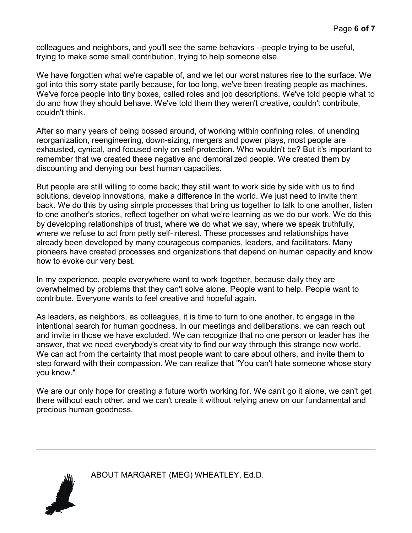colleagues and neighbors, and you'll see the same behaviors --people trying to be useful, trying to make some small contribution, trying to help someone else.

We have forgotten what we're capable of, and we let our worst natures rise to the surface. We got into this sorry state partly because, for too long, we've been treating people as machines. We've force people into tiny boxes, called roles and job descriptions. We've told people what to do and how they should behave. We've told them they weren't creative, couldn't contribute, couldn't think.

After so many years of being bossed around, of working within confining roles, of unending reorganization, reengineering, down-sizing, mergers and power plays, most people are exhausted, cynical, and focused only on self-protection. Who wouldn't be? But it's important to remember that we created these negative and demoralized people. We created them by discounting and denying our best human capacities.

But people are still willing to come back; they still want to work side by side with us to find solutions, develop innovations, make a difference in the world. We just need to invite them back. We do this by using simple processes that bring us together to talk to one another, listen to one another's stories, reflect together on what we're learning as we do our work. We do this by developing relationships of trust, where we do what we say, where we speak truthfully, where we refuse to act from petty self-interest. These processes and relationships have already been developed by many courageous companies, leaders, and facilitators. Many pioneers have created processes and organizations that depend on human capacity and know how to evoke our very best.

In my experience, people everywhere want to work together, because daily they are overwhelmed by problems that they can't solve alone. People want to help. People want to contribute. Everyone wants to feel creative and hopeful again.

As leaders, as neighbors, as colleagues, it is time to turn to one another, to engage in the intentional search for human goodness. In our meetings and deliberations, we can reach out and invite in those we have excluded. We can recognize that no one person or leader has the answer, that we need everybody's creativity to find our way through this strange new world. We can act from the certainty that most people want to care about others, and invite them to step forward with their compassion. We can realize that "You can't hate someone whose story you know."

We are our only hope for creating a future worth working for. We can't go it alone, we can't get there without each other, and we can't create it without relying anew on our fundamental and precious human goodness.



ABOUT MARGARET (MEG) WHEATLEY, Ed.D.